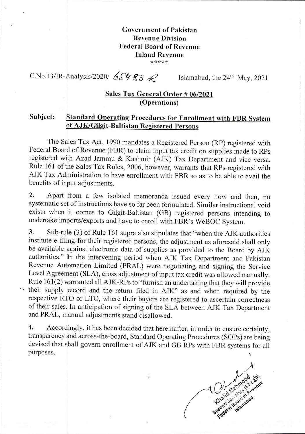#### **Government of Pakistan Revenue Division Federal Board of Revenue Inland Revenue**  \*\*\*\*\*

C.No.13/IR-Analysis/2020/  $65983$  *Q* Islamabad, the 24<sup>th</sup> May, 2021

## **Sales Tax General Order # 06/2021 (Operations)**

## **Subject: Standard Operating Procedures for Enrollment with FBR** System **of AJK/Gilgit-Baltistan Registered Persons**

The Sales Tax Act, 1990 mandates a Registered Person (RP) registered with Federal Board of Revenue (FBR) to claim input tax credit on supplies made to RPs registered with Azad Jammu & Kashmir (AJK) Tax Department and vice versa. Rule 161 of the Sales Tax Rules, 2006, however, warrants that RPs registered with AJK Tax Administration to have enrollment with FBR so as to be able to avail the benefits of input adjustments.

Apart from a few isolated memoranda issued every now and then, no  $2.$ systematic set of instructions have so far been formulated. Similar instructional void exists when it comes to Gilgit-Baltistan (GB) registered persons intending to undertake imports/exports and have to enroll with FBR's WeBOC System.

3. Sub-rule (3) of Rule 161 supra also stipulates that "when the AJK authorities institute e-filing for their registered persons, the adjustment as aforesaid shall only be available against electronic data of supplies as provided to the Board by AJK authorities." In the intervening period when AJK Tax Department and Pakistan Revenue Automation Limited (PRAL) were negotiating and signing the Service Level Agreement (SLA), cross adjustment of input tax credit was allowed manually. Rule 161(2) warranted all AJK-RPs to "furnish an undertaking that they will provide their supply record and the return filed in AJK" as and when required by the respective RTO or LTO, where their buyers are registered to ascertain correctness of their sales. In anticipation of signing of the SLA between AJK Tax Department and PRAL, manual adjustments stand disallowed.

Accordingly, it has been decided that hereinafter, in order to ensure certainty,  $\overline{4}$ . transparency and across-the-board, Standard Operating Procedures (SOPs) are being devised that shall govern enrollment of AJK and GB RPs with FBR systems for all purposes.

Second 14 Menthods Lamue

1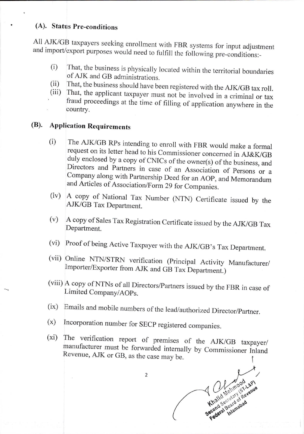## **(A). Status Pre-conditions**

**All** AJK/GB taxpayers seeking enrollment with FBR systems for input adjustment and import/export purposes would need to fulfill the following pre-conditions:-

- That, the business is physically located within the territorial boundaries  $(i)$ of AJK and GB administrations.
- That, the business should have been registered with the AJK/GB tax roll.  $(ii)$
- That, the applicant taxpayer must not be involved in a criminal or tax  $(iii)$ fraud proceedings at the time of filling of application anywhere in the country.

# **(Th. Application Requirements**

- (i) Directors and Partners in case of an Association of Persons or a and Articles of Association/Form 29 for Companies. Company along with Partnership Deed for an AOP, and Memorandum request on its letter head to his Commissioner concerned in AJ&K/GB duly enclosed by a copy of CNICs of the owner(s) of the business, and **The** AJK/GB RPs intending to enroll with FBR would make a formal
- $(iv)$ A copy of National Tax Number (NTN) Certificate issued by the AJK/GB Tax Department.
- A copy of Sales Tax Registration Certificate issued by the AJK/GB Tax  $(v)$ Department.
- Proof of being Active Taxpayer with the AJK/GB's Tax Department.  $(v_i)$
- Online NTN/STRN verification (Principal Activity Manufacturer/ Importer/Exporter from AJK and GB Tax Department.)
- A copy of NTNs of all Directors/Partners issued by the FBR in case of Limited Company/A0Ps.
- Emails and mobile numbers of the lead/authorized Director/Partner.
- Incorporation number for SECP registered companies.  $(x)$
- $(x_i)$ Revenue, AJK or GB, as the case may be. manufacturer must be forwarded internally by Commissioner Inland The verification report of premises of the AJK/GB taxpayer/

2

Secretary Islamabas Secretary Revenue Federal Blamabad